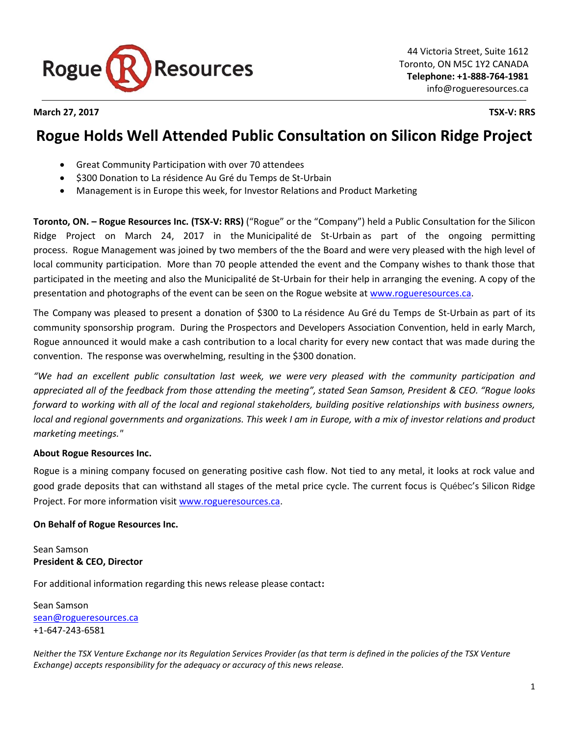

**March 27, 2017 TSX-V: RRS**

## **Rogue Holds Well Attended Public Consultation on Silicon Ridge Project**

- Great Community Participation with over 70 attendees
- \$300 Donation to La résidence Au Gré du Temps de St-Urbain
- Management is in Europe this week, for Investor Relations and Product Marketing

**Toronto, ON. – Rogue Resources Inc. (TSX-V: RRS)** ("Rogue" or the "Company") held a Public Consultation for the Silicon Ridge Project on March 24, 2017 in the Municipalité de St-Urbain as part of the ongoing permitting process. Rogue Management was joined by two members of the the Board and were very pleased with the high level of local community participation. More than 70 people attended the event and the Company wishes to thank those that participated in the meeting and also the Municipalité de St-Urbain for their help in arranging the evening. A copy of the presentation and photographs of the event can be seen on the Rogue website at [www.rogueresources.ca.](http://www.rogueresources.ca/)

The Company was pleased to present a donation of \$300 to La résidence Au Gré du Temps de St-Urbain as part of its community sponsorship program. During the Prospectors and Developers Association Convention, held in early March, Rogue announced it would make a cash contribution to a local charity for every new contact that was made during the convention. The response was overwhelming, resulting in the \$300 donation.

*"We had an excellent public consultation last week, we were very pleased with the community participation and appreciated all of the feedback from those attending the meeting", stated Sean Samson, President & CEO. "Rogue looks forward to working with all of the local and regional stakeholders, building positive relationships with business owners, local and regional governments and organizations. This week I am in Europe, with a mix of investor relations and product marketing meetings."*

## **About Rogue Resources Inc.**

Rogue is a mining company focused on generating positive cash flow. Not tied to any metal, it looks at rock value and good grade deposits that can withstand all stages of the metal price cycle. The current focus is Québec's Silicon Ridge Project. For more information visit [www.rogueresources.ca.](http://www.rogueresources.ca/)

## **On Behalf of Rogue Resources Inc.**

Sean Samson **President & CEO, Director**

For additional information regarding this news release please contact**:**

Sean Samson [sean@rogueresources.ca](mailto:sean@rogueresources.ca) +1-647-243-6581

*Neither the TSX Venture Exchange nor its Regulation Services Provider (as that term is defined in the policies of the TSX Venture Exchange) accepts responsibility for the adequacy or accuracy of this news release.*